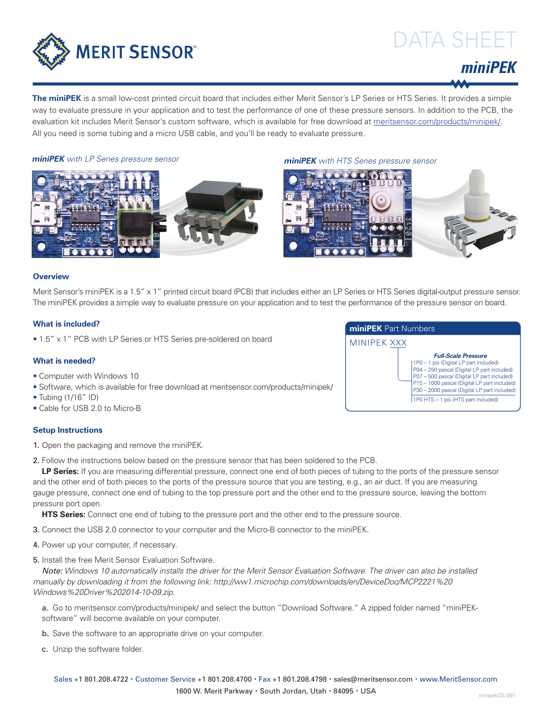

# DATA SHEET



**The miniPEK** is a small low-cost printed circuit board that includes either Merit Sensor's LP Series or HTS Series. It provides a simple way to evaluate pressure in your application and to test the performance of one of these pressure sensors. In addition to the PCB, the evaluation kit includes Merit Sensor's custom software, which is available for free download at meritsensor.com/products/minipek/. All you need is some tubing and a micro USB cable, and you'll be ready to evaluate pressure.

*miniPEK with LP Series pressure sensor miniPEK with HTS Series pressure sensor*





### **Overview**

Merit Sensor's miniPEK is a 1.5" x 1" printed circuit board (PCB) that includes either an LP Series or HTS Series digital-output pressure sensor. The miniPEK provides a simple way to evaluate pressure on your application and to test the performance of the pressure sensor on board.

## **What is included?**

• 1.5" x 1" PCB with LP Series or HTS Series pre-soldered on board

## **What is needed?**

- Computer with Windows 10
- Software, which is available for free download at meritsensor.com/products/minipek/
- Tubing (1/16" ID)
- Cable for USB 2.0 to Micro-B

### **Setup Instructions**

1. Open the packaging and remove the miniPEK.

2. Follow the instructions below based on the pressure sensor that has been soldered to the PCB.

LP Series: If you are measuring differential pressure, connect one end of both pieces of tubing to the ports of the pressure sensor and the other end of both pieces to the ports of the pressure source that you are testing, e.g., an air duct. If you are measuring gauge pressure, connect one end of tubing to the top pressure port and the other end to the pressure source, leaving the bottom pressure port open.

**HTS Series:** Connect one end of tubing to the pressure port and the other end to the pressure source.

- 3. Connect the USB 2.0 connector to your computer and the Micro-B connector to the miniPEK.
- 4. Power up your computer, if necessary.
- 5. Install the free Merit Sensor Evaluation Software.

*Note: Windows 10 automatically installs the driver for the Merit Sensor Evaluation Software. The driver can also be installed manually by downloading it from the following link: http://ww1.microchip.com/downloads/en/DeviceDoc/MCP2221%20 Windows%20Driver%202014-10-09.zip.*

a. Go to meritsensor.com/products/minipek/ and select the button "Download Software." A zipped folder named "miniPEKsoftware" will become available on your computer.

b. Save the software to an appropriate drive on your computer.

c. Unzip the software folder.